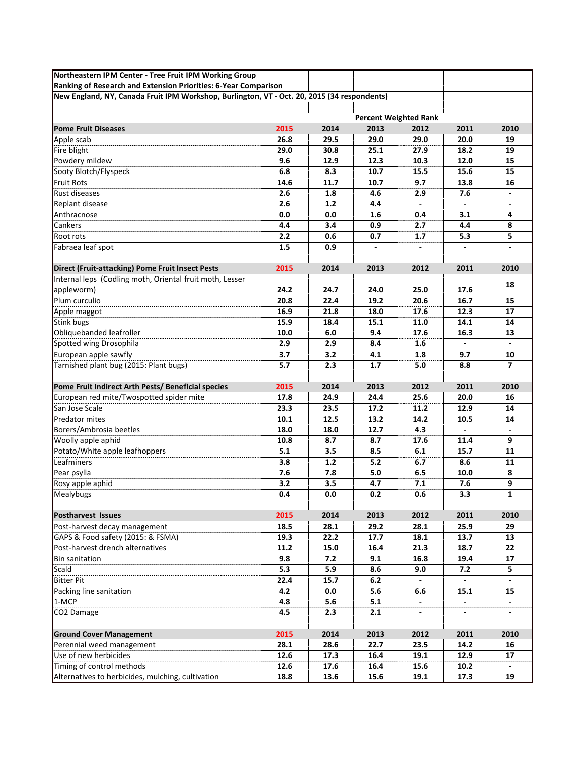| Northeastern IPM Center - Tree Fruit IPM Working Group                                      |                              |      |      |                |                |                |  |  |
|---------------------------------------------------------------------------------------------|------------------------------|------|------|----------------|----------------|----------------|--|--|
| Ranking of Research and Extension Priorities: 6-Year Comparison                             |                              |      |      |                |                |                |  |  |
| New England, NY, Canada Fruit IPM Workshop, Burlington, VT - Oct. 20, 2015 (34 respondents) |                              |      |      |                |                |                |  |  |
|                                                                                             |                              |      |      |                |                |                |  |  |
|                                                                                             | <b>Percent Weighted Rank</b> |      |      |                |                |                |  |  |
| <b>Pome Fruit Diseases</b>                                                                  | 2015                         | 2014 | 2013 | 2012           | 2011           | 2010           |  |  |
| Apple scab                                                                                  | 26.8                         | 29.5 | 29.0 | 29.0           | 20.0           | 19             |  |  |
| Fire blight                                                                                 | 29.0                         | 30.8 | 25.1 | 27.9           | 18.2           | 19             |  |  |
| Powdery mildew                                                                              | 9.6                          | 12.9 | 12.3 | 10.3           | 12.0           | 15             |  |  |
| Sooty Blotch/Flyspeck                                                                       | 6.8                          | 8.3  | 10.7 | 15.5           | 15.6           | 15             |  |  |
| <b>Fruit Rots</b>                                                                           | 14.6                         | 11.7 | 10.7 | 9.7            | 13.8           | 16             |  |  |
| <b>Rust diseases</b>                                                                        | 2.6                          | 1.8  | 4.6  | 2.9            | 7.6            |                |  |  |
| Replant disease                                                                             | 2.6                          | 1.2  | 4.4  | $\overline{a}$ | $\overline{a}$ | $\overline{a}$ |  |  |
| Anthracnose                                                                                 | 0.0                          | 0.0  | 1.6  | 0.4            | 3.1            | 4              |  |  |
| <b>Cankers</b>                                                                              | 4.4                          | 3.4  | 0.9  | 2.7            | 4.4            | 8              |  |  |
| Root rots                                                                                   | 2.2                          | 0.6  | 0.7  | 1.7            | 5.3            | 5              |  |  |
| Fabraea leaf spot                                                                           | 1.5                          | 0.9  |      |                |                | $\blacksquare$ |  |  |
|                                                                                             |                              |      |      |                |                |                |  |  |
| Direct (Fruit-attacking) Pome Fruit Insect Pests                                            | 2015                         | 2014 | 2013 | 2012           | 2011           | 2010           |  |  |
| Internal leps (Codling moth, Oriental fruit moth, Lesser                                    |                              |      |      |                |                | 18             |  |  |
| appleworm)                                                                                  | 24.2                         | 24.7 | 24.0 | 25.0           | 17.6           |                |  |  |
| Plum curculio                                                                               | 20.8                         | 22.4 | 19.2 | 20.6           | 16.7           | 15             |  |  |
| Apple maggot                                                                                | 16.9                         | 21.8 | 18.0 | 17.6           | 12.3           | 17             |  |  |
| <b>Stink bugs</b>                                                                           | 15.9                         | 18.4 | 15.1 | 11.0           | 14.1           | 14             |  |  |
| Obliquebanded leafroller                                                                    | 10.0                         | 6.0  | 9.4  | 17.6           | 16.3           | 13             |  |  |
| Spotted wing Drosophila                                                                     | 2.9                          | 2.9  | 8.4  | 1.6            |                |                |  |  |
| European apple sawfly                                                                       | 3.7                          | 3.2  | 4.1  | 1.8            | 9.7            | 10             |  |  |
| Tarnished plant bug (2015: Plant bugs)                                                      | 5.7                          | 2.3  | 1.7  | 5.0            | 8.8            | $\overline{ }$ |  |  |
|                                                                                             |                              |      |      |                |                |                |  |  |
| Pome Fruit Indirect Arth Pests/ Beneficial species                                          | 2015                         | 2014 | 2013 | 2012           | 2011           | 2010           |  |  |
| European red mite/Twospotted spider mite                                                    | 17.8                         | 24.9 | 24.4 | 25.6           | 20.0           | 16             |  |  |
| San Jose Scale                                                                              | 23.3                         | 23.5 | 17.2 | 11.2           | 12.9           | 14             |  |  |
| <b>Predator mites</b>                                                                       | 10.1                         | 12.5 | 13.2 | 14.2           | 10.5           | 14             |  |  |
| Borers/Ambrosia beetles                                                                     | 18.0                         | 18.0 | 12.7 | 4.3            |                |                |  |  |
| Woolly apple aphid                                                                          | 10.8                         | 8.7  | 8.7  | 17.6           | 11.4           | 9              |  |  |
| Potato/White apple leafhoppers                                                              | 5.1                          | 3.5  | 8.5  | 6.1            | 15.7           | 11             |  |  |
| Leafminers                                                                                  | 3.8                          | 1.2  | 5.2  | 6.7            | 8.6            | 11             |  |  |
| Pear psylla                                                                                 | 7.6                          | 7.8  | 5.0  | 6.5            | 10.0           | 8              |  |  |
| Rosy apple aphid                                                                            | 3.2                          | 3.5  | 4.7  | 7.1            | 7.6            | 9              |  |  |
| Mealybugs                                                                                   | 0.4                          | 0.0  | 0.2  | 0.6            | 3.3            | $\mathbf{1}$   |  |  |
|                                                                                             |                              |      |      |                |                |                |  |  |
| <b>Postharvest Issues</b>                                                                   | 2015                         | 2014 | 2013 | 2012           | 2011           | 2010           |  |  |
| Post-harvest decay management                                                               | 18.5                         | 28.1 | 29.2 | 28.1           | 25.9           | 29             |  |  |
| GAPS & Food safety (2015: & FSMA)                                                           | 19.3                         | 22.2 | 17.7 | 18.1           | 13.7           | 13             |  |  |
| Post-harvest drench alternatives                                                            | 11.2                         | 15.0 | 16.4 | 21.3           | 18.7           | 22             |  |  |
| <b>Bin sanitation</b>                                                                       | 9.8                          | 7.2  | 9.1  | 16.8           | 19.4           | 17             |  |  |
| Scald                                                                                       | 5.3                          | 5.9  | 8.6  | 9.0            | 7.2            | 5              |  |  |
| <b>Bitter Pit</b>                                                                           | 22.4                         | 15.7 | 6.2  |                |                |                |  |  |
| Packing line sanitation                                                                     | 4.2                          | 0.0  | 5.6  | 6.6            | 15.1           | 15             |  |  |
| 1-MCP                                                                                       | 4.8                          | 5.6  | 5.1  | $\blacksquare$ | $\blacksquare$ | $\sim$         |  |  |
| CO2 Damage                                                                                  | 4.5                          | 2.3  | 2.1  | $\blacksquare$ | $\blacksquare$ |                |  |  |
|                                                                                             |                              |      |      |                |                |                |  |  |
| <b>Ground Cover Management</b>                                                              | 2015                         | 2014 | 2013 | 2012           | 2011           | 2010           |  |  |
| Perennial weed management                                                                   | 28.1                         | 28.6 | 22.7 | 23.5           | 14.2           | 16             |  |  |
| Use of new herbicides                                                                       | 12.6                         | 17.3 | 16.4 | 19.1           | 12.9           | 17             |  |  |
| Timing of control methods                                                                   | 12.6                         | 17.6 | 16.4 | 15.6           | 10.2           |                |  |  |
| Alternatives to herbicides, mulching, cultivation                                           | 18.8                         | 13.6 | 15.6 | 19.1           | 17.3           | 19             |  |  |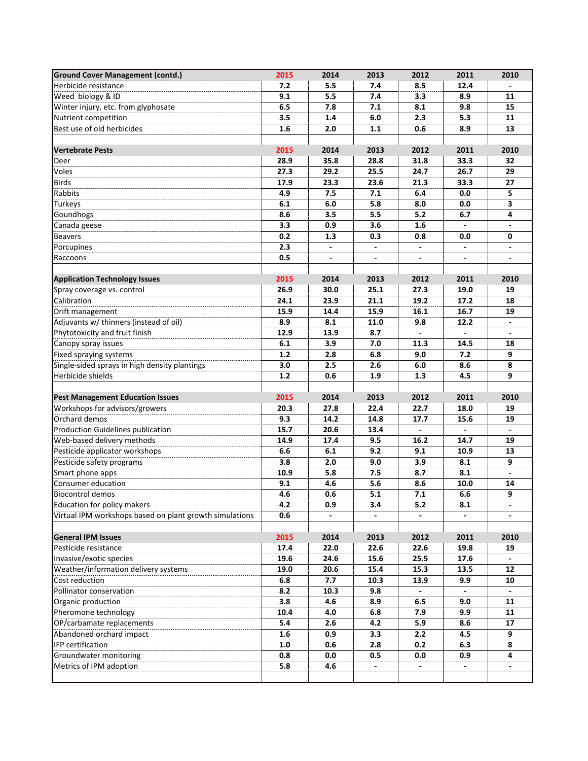| <b>Ground Cover Management (contd.)</b>                 | 2015 | 2014 | 2013 | 2012           | 2011           | 2010                        |
|---------------------------------------------------------|------|------|------|----------------|----------------|-----------------------------|
| Herbicide resistance                                    | 7.2  | 5.5  | 7.4  | 8.5            | 12.4           |                             |
| Weed biology & ID                                       | 9.1  | 5.5  | 7.4  | 3.3            | 8.9            | 11                          |
| Winter injury, etc. from glyphosate                     | 6.5  | 7.8  | 7.1  | 8.1            | 9.8            | 15                          |
| Nutrient competition                                    | 3.5  | 1.4  | 6.0  | 2.3            | 5.3            | 11                          |
| Best use of old herbicides                              | 1.6  | 2.0  | 1.1  | 0.6            | 8.9            | 13                          |
|                                                         |      |      |      |                |                |                             |
| <b>Vertebrate Pests</b>                                 | 2015 | 2014 | 2013 | 2012           | 2011           | 2010                        |
| Deer                                                    | 28.9 | 35.8 | 28.8 | 31.8           | 33.3           | 32                          |
| Voles                                                   | 27.3 | 29.2 | 25.5 | 24.7           | 26.7           | 29                          |
| <b>Birds</b>                                            | 17.9 | 23.3 | 23.6 | 21.3           | 33.3           | 27                          |
| Rabbits                                                 | 4.9  | 7.5  | 7.1  | 6.4            | 0.0            | 5                           |
| <b>Turkeys</b>                                          | 6.1  | 6.0  | 5.8  | 8.0            | 0.0            | $\overline{\mathbf{3}}$     |
| Goundhogs                                               | 8.6  | 3.5  | 5.5  | 5.2            | 6.7            | 4                           |
| Canada geese                                            | 3.3  | 0.9  | 3.6  | 1.6            |                |                             |
| <b>Beavers</b>                                          | 0.2  | 1.3  | 0.3  | 0.8            | 0.0            | 0                           |
| Porcupines                                              | 2.3  |      |      |                |                |                             |
| Raccoons                                                | 0.5  |      |      |                |                |                             |
|                                                         |      |      |      |                |                |                             |
| <b>Application Technology Issues</b>                    | 2015 | 2014 | 2013 | 2012           | 2011           | 2010                        |
| Spray coverage vs. control                              | 26.9 | 30.0 | 25.1 | 27.3           | 19.0           | 19                          |
| Calibration                                             | 24.1 | 23.9 | 21.1 | 19.2           | 17.2           | 18                          |
| Drift management                                        | 15.9 | 14.4 | 15.9 | 16.1           | 16.7           | 19                          |
| Adjuvants w/ thinners (instead of oil)                  | 8.9  | 8.1  | 11.0 | 9.8            | 12.2           | $\blacksquare$              |
| Phytotoxicity and fruit finish                          | 12.9 | 13.9 | 8.7  |                |                |                             |
| Canopy spray issues                                     | 6.1  | 3.9  | 7.0  | 11.3           | 14.5           | 18                          |
| Fixed spraying systems                                  | 1.2  | 2.8  | 6.8  | 9.0            | 7.2            | 9                           |
| Single-sided sprays in high density plantings           | 3.0  | 2.5  | 2.6  | 6.0            | 8.6            | 8                           |
| Herbicide shields                                       | 1.2  | 0.6  | 1.9  | 1.3            | 4.5            | 9                           |
|                                                         |      |      |      |                |                |                             |
| <b>Pest Management Education Issues</b>                 | 2015 | 2014 | 2013 | 2012           | 2011           | 2010                        |
| Workshops for advisors/growers                          | 20.3 | 27.8 | 22.4 | 22.7           | 18.0           | 19                          |
| Orchard demos                                           | 9.3  | 14.2 | 14.8 | 17.7           | 15.6           | 19                          |
| <b>Production Guidelines publication</b>                | 15.7 | 20.6 | 13.4 | ÷.             | $\overline{a}$ | $\mathcal{L}^{\mathcal{A}}$ |
| Web-based delivery methods                              | 14.9 | 17.4 | 9.5  | 16.2           | 14.7           | 19                          |
| Pesticide applicator workshops                          | 6.6  | 6.1  | 9.2  | 9.1            | 10.9           | 13                          |
| Pesticide safety programs                               | 3.8  | 2.0  | 9.0  | 3.9            | 8.1            | 9                           |
| Smart phone apps                                        | 10.9 | 5.8  | 7.5  | 8.7            | 8.1            | $\blacksquare$              |
| Consumer education                                      | 9.1  | 4.6  | 5.6  | 8.6            | 10.0           | 14                          |
| Biocontrol demos                                        | 4.6  | 0.6  | 5.1  | 7.1            | 6.6            | 9                           |
| Education for policy makers                             | 4.2  | 0.9  | 3.4  | 5.2            | 8.1            |                             |
| Virtual IPM workshops based on plant growth simulations | 0.6  |      |      |                |                |                             |
|                                                         |      |      |      |                |                |                             |
| <b>General IPM Issues</b>                               | 2015 | 2014 | 2013 | 2012           | 2011           | 2010                        |
| Pesticide resistance                                    | 17.4 | 22.0 | 22.6 | 22.6           | 19.8           | 19                          |
| Invasive/exotic species                                 | 19.6 | 24.6 | 15.6 | 25.5           | 17.6           |                             |
| Weather/information delivery systems                    | 19.0 | 20.6 | 15.4 | 15.3           | 13.5           | 12                          |
| Cost reduction                                          | 6.8  | 7.7  | 10.3 | 13.9           | 9.9            | 10                          |
| Pollinator conservation                                 | 8.2  | 10.3 | 9.8  | $\blacksquare$ |                |                             |
| Organic production                                      | 3.8  | 4.6  | 8.9  | 6.5            | 9.0            | 11                          |
| Pheromone technology                                    | 10.4 | 4.0  | 6.8  | 7.9            | 9.9            | 11                          |
| OP/carbamate replacements                               | 5.4  | 2.6  | 4.2  | 5.9            | 8.6            | 17                          |
| Abandoned orchard impact                                | 1.6  | 0.9  | 3.3  | 2.2            | 4.5            | 9                           |
| IFP certification                                       | 1.0  | 0.6  | 2.8  | 0.2            | 6.3            | 8                           |
| Groundwater monitoring                                  | 0.8  | 0.0  | 0.5  | 0.0            | 0.9            | 4                           |
| Metrics of IPM adoption                                 | 5.8  | 4.6  |      |                |                |                             |
|                                                         |      |      |      |                |                |                             |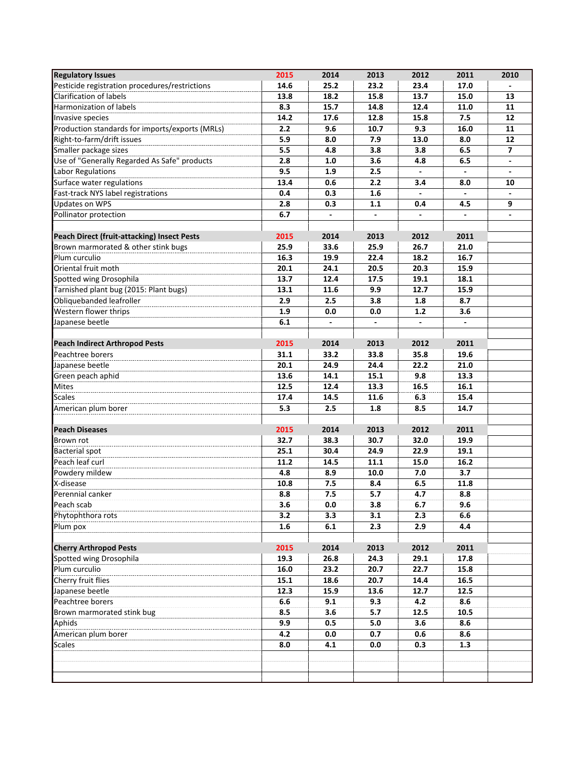| <b>Regulatory Issues</b>                        | 2015 | 2014 | 2013 | 2012           | 2011           | 2010           |
|-------------------------------------------------|------|------|------|----------------|----------------|----------------|
| Pesticide registration procedures/restrictions  | 14.6 | 25.2 | 23.2 | 23.4           | 17.0           |                |
| Clarification of labels                         | 13.8 | 18.2 | 15.8 | 13.7           | 15.0           | 13             |
| <b>Harmonization of labels</b>                  | 8.3  | 15.7 | 14.8 | 12.4           | 11.0           | 11             |
| Invasive species                                | 14.2 | 17.6 | 12.8 | 15.8           | 7.5            | 12             |
| Production standards for imports/exports (MRLs) | 2.2  | 9.6  | 10.7 | 9.3            | 16.0           | 11             |
| Right-to-farm/drift issues                      | 5.9  | 8.0  | 7.9  | 13.0           | 8.0            | 12             |
| Smaller package sizes                           | 5.5  | 4.8  | 3.8  | 3.8            | 6.5            | $\overline{ }$ |
| Use of "Generally Regarded As Safe" products    | 2.8  | 1.0  | 3.6  | 4.8            | 6.5            |                |
| Labor Regulations                               | 9.5  | 1.9  | 2.5  |                |                |                |
| Surface water regulations                       | 13.4 | 0.6  | 2.2  | 3.4            | 8.0            | 10             |
| Fast-track NYS label registrations              | 0.4  | 0.3  | 1.6  | $\blacksquare$ | $\blacksquare$ |                |
| Updates on WPS                                  | 2.8  | 0.3  | 1.1  | 0.4            | 4.5            | 9              |
| Pollinator protection                           | 6.7  |      |      |                |                |                |
|                                                 |      |      |      |                |                |                |
| Peach Direct (fruit-attacking) Insect Pests     | 2015 | 2014 | 2013 | 2012           | 2011           |                |
| Brown marmorated & other stink bugs             | 25.9 | 33.6 | 25.9 | 26.7           | 21.0           |                |
| Plum curculio                                   | 16.3 | 19.9 | 22.4 | 18.2           | 16.7           |                |
| Oriental fruit moth                             | 20.1 | 24.1 | 20.5 | 20.3           | 15.9           |                |
| Spotted wing Drosophila                         | 13.7 | 12.4 | 17.5 | 19.1           | 18.1           |                |
| Tarnished plant bug (2015: Plant bugs)          | 13.1 | 11.6 | 9.9  | 12.7           | 15.9           |                |
| Obliquebanded leafroller                        | 2.9  | 2.5  | 3.8  | 1.8            | 8.7            |                |
| Western flower thrips                           | 1.9  | 0.0  | 0.0  | $1.2$          | 3.6            |                |
| Japanese beetle                                 | 6.1  |      |      |                |                |                |
|                                                 |      |      |      |                |                |                |
| <b>Peach Indirect Arthropod Pests</b>           | 2015 | 2014 | 2013 | 2012           | 2011           |                |
| Peachtree borers                                | 31.1 | 33.2 | 33.8 | 35.8           | 19.6           |                |
| Japanese beetle                                 | 20.1 | 24.9 | 24.4 | 22.2           | 21.0           |                |
| Green peach aphid                               | 13.6 | 14.1 | 15.1 | 9.8            | 13.3           |                |
| <b>Mites</b>                                    | 12.5 | 12.4 | 13.3 | 16.5           | 16.1           |                |
| <b>Scales</b>                                   | 17.4 | 14.5 | 11.6 | 6.3            | 15.4           |                |
| American plum borer                             | 5.3  | 2.5  | 1.8  | 8.5            | 14.7           |                |
|                                                 |      |      |      |                |                |                |
| <b>Peach Diseases</b>                           | 2015 | 2014 | 2013 | 2012           | 2011           |                |
| Brown rot                                       | 32.7 | 38.3 | 30.7 | 32.0           | 19.9           |                |
| <b>Bacterial spot</b>                           | 25.1 | 30.4 | 24.9 | 22.9           | 19.1           |                |
| Peach leaf curl                                 | 11.2 | 14.5 | 11.1 | 15.0           | 16.2           |                |
| Powdery mildew                                  | 4.8  | 8.9  | 10.0 | 7.0            | 3.7            |                |
| X-disease                                       | 10.8 | 7.5  | 8.4  | 6.5            | 11.8           |                |
| Perennial canker                                | 8.8  | 7.5  | 5.7  | 4.7            | 8.8            |                |
| Peach scab                                      | 3.6  | 0.0  | 3.8  | 6.7            | 9.6            |                |
| Phytophthora rots                               | 3.2  | 3.3  | 3.1  | 2.3            | 6.6            |                |
| Plum pox                                        | 1.6  | 6.1  | 2.3  | 2.9            | 4.4            |                |
|                                                 |      |      |      |                |                |                |
| <b>Cherry Arthropod Pests</b>                   | 2015 | 2014 | 2013 | 2012           | 2011           |                |
| Spotted wing Drosophila                         | 19.3 | 26.8 | 24.3 | 29.1           | 17.8           |                |
| Plum curculio                                   | 16.0 | 23.2 | 20.7 | 22.7           | 15.8           |                |
| Cherry fruit flies                              | 15.1 | 18.6 | 20.7 | 14.4           | 16.5           |                |
| Japanese beetle                                 | 12.3 | 15.9 | 13.6 | 12.7           | 12.5           |                |
| Peachtree borers                                | 6.6  | 9.1  | 9.3  | 4.2            | 8.6            |                |
| Brown marmorated stink bug                      | 8.5  | 3.6  | 5.7  | 12.5           | 10.5           |                |
| Aphids                                          | 9.9  | 0.5  | 5.0  | 3.6            | 8.6            |                |
| American plum borer                             | 4.2  | 0.0  | 0.7  | 0.6            | 8.6            |                |
| <b>Scales</b>                                   | 8.0  | 4.1  | 0.0  | 0.3            | 1.3            |                |
|                                                 |      |      |      |                |                |                |
|                                                 |      |      |      |                |                |                |
|                                                 |      |      |      |                |                |                |